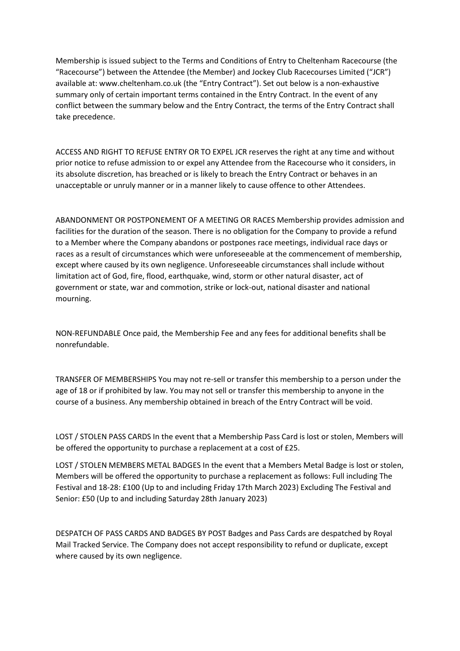Membership is issued subject to the Terms and Conditions of Entry to Cheltenham Racecourse (the "Racecourse") between the Attendee (the Member) and Jockey Club Racecourses Limited ("JCR") available at: www.cheltenham.co.uk (the "Entry Contract"). Set out below is a non-exhaustive summary only of certain important terms contained in the Entry Contract. In the event of any conflict between the summary below and the Entry Contract, the terms of the Entry Contract shall take precedence.

ACCESS AND RIGHT TO REFUSE ENTRY OR TO EXPEL JCR reserves the right at any time and without prior notice to refuse admission to or expel any Attendee from the Racecourse who it considers, in its absolute discretion, has breached or is likely to breach the Entry Contract or behaves in an unacceptable or unruly manner or in a manner likely to cause offence to other Attendees.

ABANDONMENT OR POSTPONEMENT OF A MEETING OR RACES Membership provides admission and facilities for the duration of the season. There is no obligation for the Company to provide a refund to a Member where the Company abandons or postpones race meetings, individual race days or races as a result of circumstances which were unforeseeable at the commencement of membership, except where caused by its own negligence. Unforeseeable circumstances shall include without limitation act of God, fire, flood, earthquake, wind, storm or other natural disaster, act of government or state, war and commotion, strike or lock-out, national disaster and national mourning.

NON-REFUNDABLE Once paid, the Membership Fee and any fees for additional benefits shall be nonrefundable.

TRANSFER OF MEMBERSHIPS You may not re-sell or transfer this membership to a person under the age of 18 or if prohibited by law. You may not sell or transfer this membership to anyone in the course of a business. Any membership obtained in breach of the Entry Contract will be void.

LOST / STOLEN PASS CARDS In the event that a Membership Pass Card is lost or stolen, Members will be offered the opportunity to purchase a replacement at a cost of £25.

LOST / STOLEN MEMBERS METAL BADGES In the event that a Members Metal Badge is lost or stolen, Members will be offered the opportunity to purchase a replacement as follows: Full including The Festival and 18-28: £100 (Up to and including Friday 17th March 2023) Excluding The Festival and Senior: £50 (Up to and including Saturday 28th January 2023)

DESPATCH OF PASS CARDS AND BADGES BY POST Badges and Pass Cards are despatched by Royal Mail Tracked Service. The Company does not accept responsibility to refund or duplicate, except where caused by its own negligence.